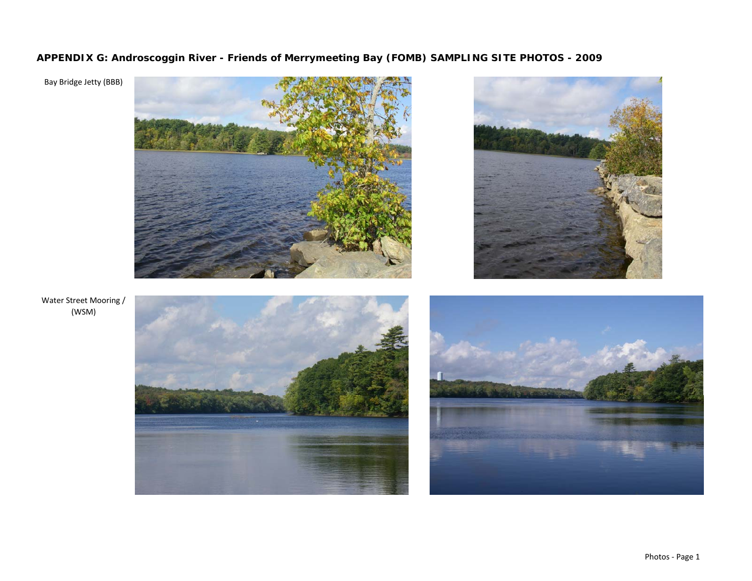**APPENDIX G: Androscoggin River - Friends of Merrymeeting Bay (FOMB) SAMPLING SITE PHOTOS - 2009**

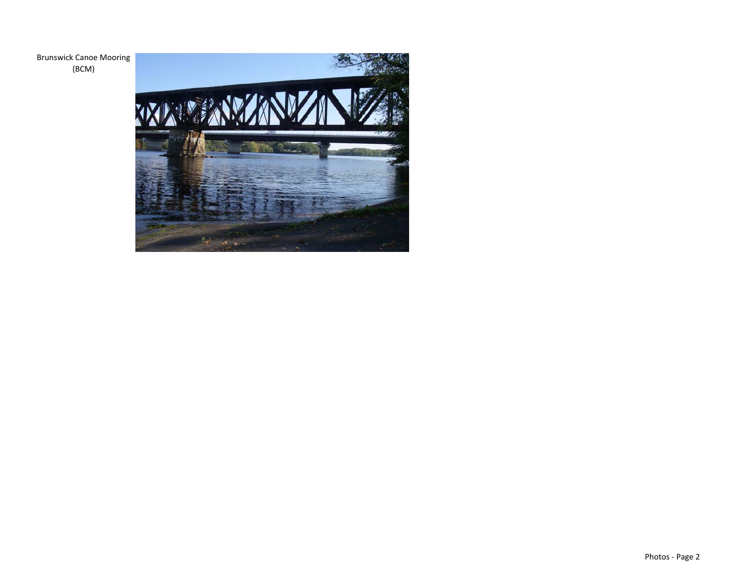Brunswick Canoe Mooring (BCM)

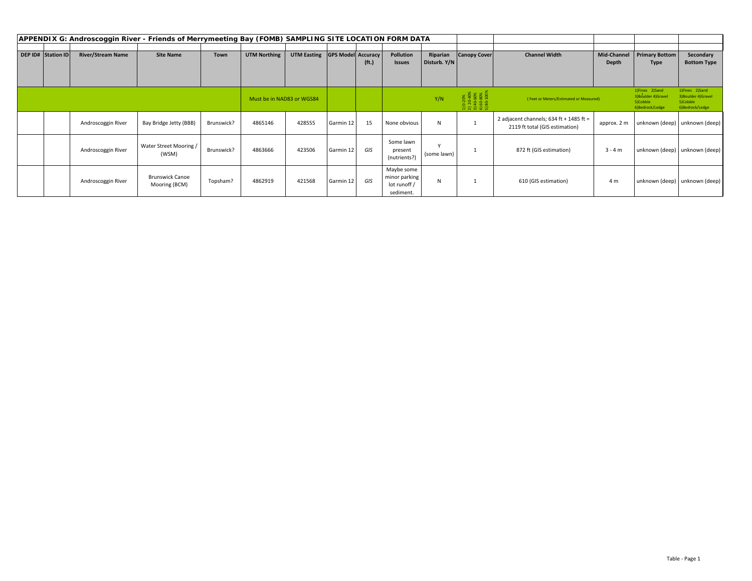| APPENDIX G: Androscoggin River - Friends of Merrymeeting Bay (FOMB) SAMPLING SITE LOCATION FORM DATA |                           |                          |                                         |                           |                     |                    |                           |                   |                                                          |                                                                      |                                        |                                                                             |                                                                       |                                                                       |                    |
|------------------------------------------------------------------------------------------------------|---------------------------|--------------------------|-----------------------------------------|---------------------------|---------------------|--------------------|---------------------------|-------------------|----------------------------------------------------------|----------------------------------------------------------------------|----------------------------------------|-----------------------------------------------------------------------------|-----------------------------------------------------------------------|-----------------------------------------------------------------------|--------------------|
|                                                                                                      |                           |                          |                                         |                           |                     |                    |                           |                   |                                                          |                                                                      |                                        |                                                                             |                                                                       |                                                                       |                    |
|                                                                                                      | <b>DEP ID# Station ID</b> | <b>River/Stream Name</b> | <b>Site Name</b>                        | <b>Town</b>               | <b>UTM Northing</b> | <b>UTM Easting</b> | <b>GPS Model Accuracy</b> |                   | Pollution                                                | Riparian                                                             | <b>Canopy Cover</b>                    | <b>Channel Width</b>                                                        | Mid-Channel                                                           | <b>Primary Bottom</b>                                                 | Secondary          |
|                                                                                                      |                           |                          |                                         |                           |                     |                    |                           | (f <sub>t</sub> ) | <b>Issues</b>                                            | Disturb. Y/N                                                         |                                        |                                                                             | Depth                                                                 | Type                                                                  | <b>Bottom Type</b> |
|                                                                                                      |                           |                          |                                         |                           |                     |                    |                           |                   |                                                          |                                                                      |                                        |                                                                             |                                                                       |                                                                       |                    |
|                                                                                                      |                           |                          |                                         |                           |                     |                    |                           |                   |                                                          |                                                                      |                                        |                                                                             |                                                                       |                                                                       |                    |
|                                                                                                      |                           |                          |                                         | Must be in NAD83 or WGS84 |                     |                    |                           | Y/N               |                                                          | $0-20%$<br>$20-40%$<br>$40-60%$<br>$60-80%$<br>$80-100%$<br>ភ្និតទូត | (Feet or Meters/Estimated or Measured) |                                                                             | 1)Fines 2)Sand<br>3) Boulder 4) Gravel<br>5)Cobble<br>6)Bedrock/Ledge | 1)Fines 2)Sand<br>3) Boulder 4) Gravel<br>5)Cobble<br>6)Bedrock/Ledge |                    |
|                                                                                                      |                           | Androscoggin River       | Bay Bridge Jetty (BBB)                  | Brunswick?                | 4865146             | 428555             | Garmin 12                 | 15                | None obvious                                             | N                                                                    |                                        | 2 adjacent channels; $634$ ft + 1485 ft =<br>2119 ft total (GIS estimation) | approx. 2 m                                                           | unknown (deep)   unknown (deep)                                       |                    |
|                                                                                                      |                           | Androscoggin River       | Water Street Mooring /<br>(WSM)         | Brunswick?                | 4863666             | 423506             | Garmin 12                 | GIS               | Some lawn<br>present<br>(nutrients?)                     | (some lawn)                                                          |                                        | 872 ft (GIS estimation)                                                     | $3 - 4 m$                                                             | unknown (deep) unknown (deep)                                         |                    |
|                                                                                                      |                           | Androscoggin River       | <b>Brunswick Canoe</b><br>Mooring (BCM) | Topsham?                  | 4862919             | 421568             | Garmin 12                 | GIS               | Maybe some<br>minor parking<br>lot runoff /<br>sediment. | N                                                                    | <b>I</b>                               | 610 (GIS estimation)                                                        | 4 m                                                                   | unknown (deep)   unknown (deep)                                       |                    |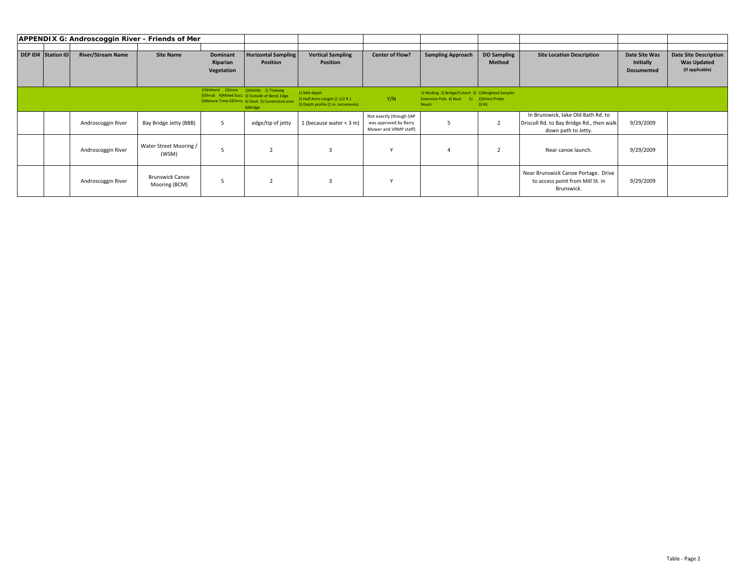| APPENDIX G: Androscoggin River - Friends of Mer |                    |                          |                                         |                                          |                                                                                                                      |                                                                                       |                                                                           |                                                                                                          |                                     |                                                                                                        |                                                 |                                                                       |
|-------------------------------------------------|--------------------|--------------------------|-----------------------------------------|------------------------------------------|----------------------------------------------------------------------------------------------------------------------|---------------------------------------------------------------------------------------|---------------------------------------------------------------------------|----------------------------------------------------------------------------------------------------------|-------------------------------------|--------------------------------------------------------------------------------------------------------|-------------------------------------------------|-----------------------------------------------------------------------|
|                                                 | DEP ID# Station ID | <b>River/Stream Name</b> | <b>Site Name</b>                        | Dominant<br>Riparian<br>Vegetation       | <b>Horizontal Sampling</b><br><b>Position</b>                                                                        | <b>Vertical Sampling</b><br><b>Position</b>                                           | <b>Center of Flow?</b>                                                    | <b>Sampling Approach</b>                                                                                 | <b>DO Sampling</b><br><b>Method</b> | <b>Site Location Description</b>                                                                       | Date Site Was<br>Initially<br><b>Documented</b> | <b>Date Site Description</b><br><b>Was Updated</b><br>(if applicable) |
|                                                 |                    |                          |                                         | 1) Wetland 2) Grass 1) Middle 2) Thalweg | 3) Shrub 4) Mixed Succ. 3) Outside of Bend, Edge<br>5) Mature Trees 6) Ferns 4) Dock 5) Constricted area<br>6)Bridge | 1) Mid-depth<br>2) Half Arms Length (1 1/2 ft.)<br>3) Depth profile (1 m. increments) | Y/N                                                                       | 1) Wading 2) Bridge/Culvert 3) 1) Weighted Sampler<br>Extension Pole 4) Boat 5) 2) Direct Probe<br>Reach | 3) Kit                              |                                                                                                        |                                                 |                                                                       |
|                                                 |                    | Androscoggin River       | Bay Bridge Jetty (BBB)                  | -5                                       | edge/tip of jetty                                                                                                    | 1 (because water $<$ 3 m)                                                             | Not exactly (though SAP<br>was approved by Barry<br>Mower and VRMP staff) |                                                                                                          |                                     | In Brunswick, take Old Bath Rd. to<br>Driscoll Rd. to Bay Bridge Rd., then walk<br>down path to Jetty. | 9/29/2009                                       |                                                                       |
|                                                 |                    | Androscoggin River       | Water Street Mooring /<br>(WSM)         |                                          |                                                                                                                      |                                                                                       |                                                                           |                                                                                                          |                                     | Near canoe launch.                                                                                     | 9/29/2009                                       |                                                                       |
|                                                 |                    | Androscoggin River       | <b>Brunswick Canoe</b><br>Mooring (BCM) | 5                                        |                                                                                                                      |                                                                                       |                                                                           |                                                                                                          |                                     | Near Brunswick Canoe Portage. Drive<br>to access point from Mill St. in<br>Brunswick.                  | 9/29/2009                                       |                                                                       |